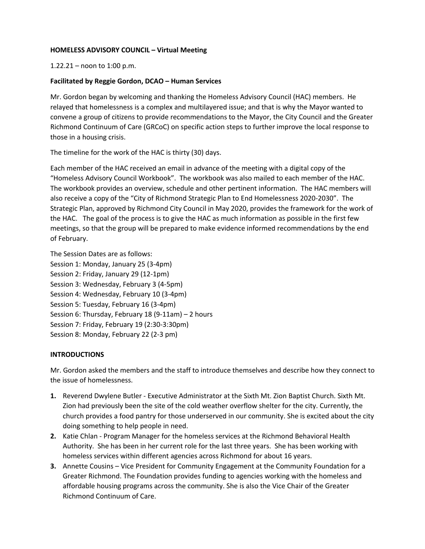## **HOMELESS ADVISORY COUNCIL – Virtual Meeting**

1.22.21 – noon to 1:00 p.m.

## **Facilitated by Reggie Gordon, DCAO – Human Services**

Mr. Gordon began by welcoming and thanking the Homeless Advisory Council (HAC) members. He relayed that homelessness is a complex and multilayered issue; and that is why the Mayor wanted to convene a group of citizens to provide recommendations to the Mayor, the City Council and the Greater Richmond Continuum of Care (GRCoC) on specific action steps to further improve the local response to those in a housing crisis.

The timeline for the work of the HAC is thirty (30) days.

Each member of the HAC received an email in advance of the meeting with a digital copy of the "Homeless Advisory Council Workbook". The workbook was also mailed to each member of the HAC. The workbook provides an overview, schedule and other pertinent information. The HAC members will also receive a copy of the "City of Richmond Strategic Plan to End Homelessness 2020-2030". The Strategic Plan, approved by Richmond City Council in May 2020, provides the framework for the work of the HAC. The goal of the process is to give the HAC as much information as possible in the first few meetings, so that the group will be prepared to make evidence informed recommendations by the end of February.

The Session Dates are as follows:

Session 1: Monday, January 25 (3-4pm) Session 2: Friday, January 29 (12-1pm) Session 3: Wednesday, February 3 (4-5pm) Session 4: Wednesday, February 10 (3-4pm) Session 5: Tuesday, February 16 (3-4pm) Session 6: Thursday, February 18 (9-11am) – 2 hours Session 7: Friday, February 19 (2:30-3:30pm) Session 8: Monday, February 22 (2-3 pm)

## **INTRODUCTIONS**

Mr. Gordon asked the members and the staff to introduce themselves and describe how they connect to the issue of homelessness.

- **1.** Reverend Dwylene Butler Executive Administrator at the Sixth Mt. Zion Baptist Church. Sixth Mt. Zion had previously been the site of the cold weather overflow shelter for the city. Currently, the church provides a food pantry for those underserved in our community. She is excited about the city doing something to help people in need.
- **2.** Katie Chlan Program Manager for the homeless services at the Richmond Behavioral Health Authority. She has been in her current role for the last three years. She has been working with homeless services within different agencies across Richmond for about 16 years.
- **3.** Annette Cousins Vice President for Community Engagement at the Community Foundation for a Greater Richmond. The Foundation provides funding to agencies working with the homeless and affordable housing programs across the community. She is also the Vice Chair of the Greater Richmond Continuum of Care.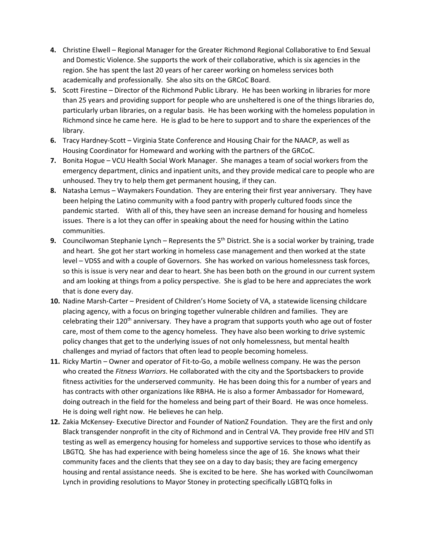- **4.** Christine Elwell Regional Manager for the Greater Richmond Regional Collaborative to End Sexual and Domestic Violence. She supports the work of their collaborative, which is six agencies in the region. She has spent the last 20 years of her career working on homeless services both academically and professionally. She also sits on the GRCoC Board.
- **5.** Scott Firestine Director of the Richmond Public Library. He has been working in libraries for more than 25 years and providing support for people who are unsheltered is one of the things libraries do, particularly urban libraries, on a regular basis. He has been working with the homeless population in Richmond since he came here. He is glad to be here to support and to share the experiences of the library.
- **6.** Tracy Hardney-Scott Virginia State Conference and Housing Chair for the NAACP, as well as Housing Coordinator for Homeward and working with the partners of the GRCoC.
- **7.** Bonita Hogue VCU Health Social Work Manager. She manages a team of social workers from the emergency department, clinics and inpatient units, and they provide medical care to people who are unhoused. They try to help them get permanent housing, if they can.
- **8.** Natasha Lemus Waymakers Foundation. They are entering their first year anniversary. They have been helping the Latino community with a food pantry with properly cultured foods since the pandemic started. With all of this, they have seen an increase demand for housing and homeless issues. There is a lot they can offer in speaking about the need for housing within the Latino communities.
- **9.** Councilwoman Stephanie Lynch Represents the 5<sup>th</sup> District. She is a social worker by training, trade and heart. She got her start working in homeless case management and then worked at the state level – VDSS and with a couple of Governors. She has worked on various homelessness task forces, so this is issue is very near and dear to heart. She has been both on the ground in our current system and am looking at things from a policy perspective. She is glad to be here and appreciates the work that is done every day.
- **10.** Nadine Marsh-Carter President of Children's Home Society of VA, a statewide licensing childcare placing agency, with a focus on bringing together vulnerable children and families. They are celebrating their  $120<sup>th</sup>$  anniversary. They have a program that supports youth who age out of foster care, most of them come to the agency homeless. They have also been working to drive systemic policy changes that get to the underlying issues of not only homelessness, but mental health challenges and myriad of factors that often lead to people becoming homeless.
- **11.** Ricky Martin Owner and operator of Fit-to-Go, a mobile wellness company. He was the person who created the *Fitness Warriors*. He collaborated with the city and the Sportsbackers to provide fitness activities for the underserved community. He has been doing this for a number of years and has contracts with other organizations like RBHA. He is also a former Ambassador for Homeward, doing outreach in the field for the homeless and being part of their Board. He was once homeless. He is doing well right now. He believes he can help.
- **12.** Zakia McKensey- Executive Director and Founder of NationZ Foundation. They are the first and only Black transgender nonprofit in the city of Richmond and in Central VA. They provide free HIV and STI testing as well as emergency housing for homeless and supportive services to those who identify as LBGTQ. She has had experience with being homeless since the age of 16. She knows what their community faces and the clients that they see on a day to day basis; they are facing emergency housing and rental assistance needs. She is excited to be here. She has worked with Councilwoman Lynch in providing resolutions to Mayor Stoney in protecting specifically LGBTQ folks in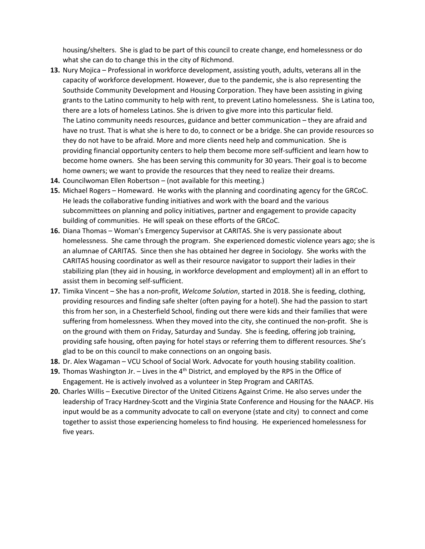housing/shelters. She is glad to be part of this council to create change, end homelessness or do what she can do to change this in the city of Richmond.

- **13.** Nury Mojica Professional in workforce development, assisting youth, adults, veterans all in the capacity of workforce development. However, due to the pandemic, she is also representing the Southside Community Development and Housing Corporation. They have been assisting in giving grants to the Latino community to help with rent, to prevent Latino homelessness. She is Latina too, there are a lots of homeless Latinos. She is driven to give more into this particular field. The Latino community needs resources, guidance and better communication – they are afraid and have no trust. That is what she is here to do, to connect or be a bridge. She can provide resources so they do not have to be afraid. More and more clients need help and communication. She is providing financial opportunity centers to help them become more self-sufficient and learn how to become home owners. She has been serving this community for 30 years. Their goal is to become home owners; we want to provide the resources that they need to realize their dreams.
- **14.** Councilwoman Ellen Robertson (not available for this meeting.)
- **15.** Michael Rogers Homeward. He works with the planning and coordinating agency for the GRCoC. He leads the collaborative funding initiatives and work with the board and the various subcommittees on planning and policy initiatives, partner and engagement to provide capacity building of communities. He will speak on these efforts of the GRCoC.
- **16.** Diana Thomas Woman's Emergency Supervisor at CARITAS. She is very passionate about homelessness. She came through the program. She experienced domestic violence years ago; she is an alumnae of CARITAS. Since then she has obtained her degree in Sociology. She works with the CARITAS housing coordinator as well as their resource navigator to support their ladies in their stabilizing plan (they aid in housing, in workforce development and employment) all in an effort to assist them in becoming self-sufficient.
- **17.** Timika Vincent She has a non-profit, *Welcome Solution*, started in 2018. She is feeding, clothing, providing resources and finding safe shelter (often paying for a hotel). She had the passion to start this from her son, in a Chesterfield School, finding out there were kids and their families that were suffering from homelessness. When they moved into the city, she continued the non-profit. She is on the ground with them on Friday, Saturday and Sunday. She is feeding, offering job training, providing safe housing, often paying for hotel stays or referring them to different resources. She's glad to be on this council to make connections on an ongoing basis.
- **18.** Dr. Alex Wagaman VCU School of Social Work. Advocate for youth housing stability coalition.
- **19.** Thomas Washington Jr. Lives in the 4<sup>th</sup> District, and employed by the RPS in the Office of Engagement. He is actively involved as a volunteer in Step Program and CARITAS.
- **20.** Charles Willis Executive Director of the United Citizens Against Crime. He also serves under the leadership of Tracy Hardney-Scott and the Virginia State Conference and Housing for the NAACP. His input would be as a community advocate to call on everyone (state and city) to connect and come together to assist those experiencing homeless to find housing. He experienced homelessness for five years.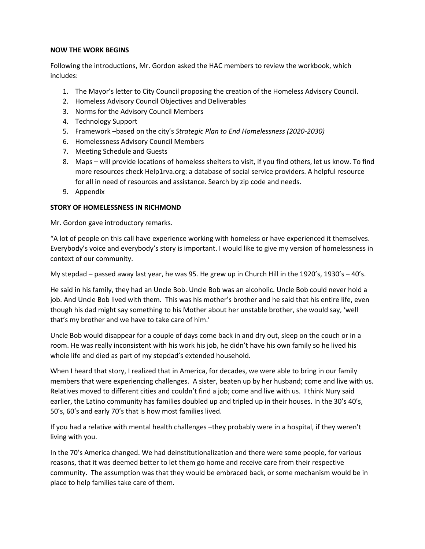#### **NOW THE WORK BEGINS**

Following the introductions, Mr. Gordon asked the HAC members to review the workbook, which includes:

- 1. The Mayor's letter to City Council proposing the creation of the Homeless Advisory Council.
- 2. Homeless Advisory Council Objectives and Deliverables
- 3. Norms for the Advisory Council Members
- 4. Technology Support
- 5. Framework –based on the city's *Strategic Plan to End Homelessness (2020-2030)*
- 6. Homelessness Advisory Council Members
- 7. Meeting Schedule and Guests
- 8. Maps will provide locations of homeless shelters to visit, if you find others, let us know. To find more resources check Help1rva.org: a database of social service providers. A helpful resource for all in need of resources and assistance. Search by zip code and needs.
- 9. Appendix

## **STORY OF HOMELESSNESS IN RICHMOND**

Mr. Gordon gave introductory remarks.

"A lot of people on this call have experience working with homeless or have experienced it themselves. Everybody's voice and everybody's story is important. I would like to give my version of homelessness in context of our community.

My stepdad – passed away last year, he was 95. He grew up in Church Hill in the 1920's, 1930's – 40's.

He said in his family, they had an Uncle Bob. Uncle Bob was an alcoholic. Uncle Bob could never hold a job. And Uncle Bob lived with them. This was his mother's brother and he said that his entire life, even though his dad might say something to his Mother about her unstable brother, she would say, 'well that's my brother and we have to take care of him.'

Uncle Bob would disappear for a couple of days come back in and dry out, sleep on the couch or in a room. He was really inconsistent with his work his job, he didn't have his own family so he lived his whole life and died as part of my stepdad's extended household.

When I heard that story, I realized that in America, for decades, we were able to bring in our family members that were experiencing challenges. A sister, beaten up by her husband; come and live with us. Relatives moved to different cities and couldn't find a job; come and live with us. I think Nury said earlier, the Latino community has families doubled up and tripled up in their houses. In the 30's 40's, 50's, 60's and early 70's that is how most families lived.

If you had a relative with mental health challenges –they probably were in a hospital, if they weren't living with you.

In the 70's America changed. We had deinstitutionalization and there were some people, for various reasons, that it was deemed better to let them go home and receive care from their respective community. The assumption was that they would be embraced back, or some mechanism would be in place to help families take care of them.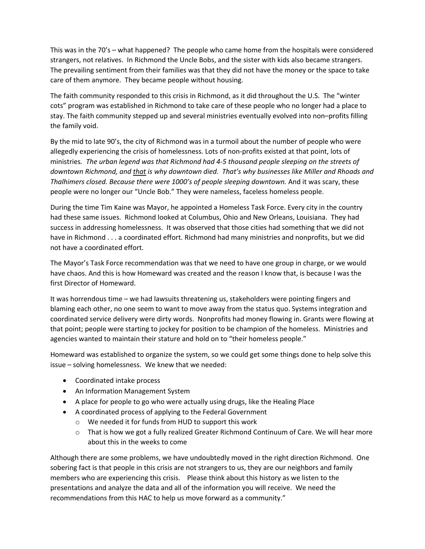This was in the 70's – what happened? The people who came home from the hospitals were considered strangers, not relatives. In Richmond the Uncle Bobs, and the sister with kids also became strangers. The prevailing sentiment from their families was that they did not have the money or the space to take care of them anymore. They became people without housing.

The faith community responded to this crisis in Richmond, as it did throughout the U.S. The "winter cots" program was established in Richmond to take care of these people who no longer had a place to stay. The faith community stepped up and several ministries eventually evolved into non–profits filling the family void.

By the mid to late 90's, the city of Richmond was in a turmoil about the number of people who were allegedly experiencing the crisis of homelessness. Lots of non-profits existed at that point, lots of ministries*. The urban legend was that Richmond had 4-5 thousand people sleeping on the streets of downtown Richmond, and that is why downtown died. That's why businesses like Miller and Rhoads and Thalhimers closed. Because there were 1000's of people sleeping downtown.* And it was scary, these people were no longer our "Uncle Bob." They were nameless, faceless homeless people.

During the time Tim Kaine was Mayor, he appointed a Homeless Task Force. Every city in the country had these same issues. Richmond looked at Columbus, Ohio and New Orleans, Louisiana. They had success in addressing homelessness. It was observed that those cities had something that we did not have in Richmond . . . a coordinated effort. Richmond had many ministries and nonprofits, but we did not have a coordinated effort.

The Mayor's Task Force recommendation was that we need to have one group in charge, or we would have chaos. And this is how Homeward was created and the reason I know that, is because I was the first Director of Homeward.

It was horrendous time – we had lawsuits threatening us, stakeholders were pointing fingers and blaming each other, no one seem to want to move away from the status quo. Systems integration and coordinated service delivery were dirty words. Nonprofits had money flowing in. Grants were flowing at that point; people were starting to jockey for position to be champion of the homeless. Ministries and agencies wanted to maintain their stature and hold on to "their homeless people."

Homeward was established to organize the system, so we could get some things done to help solve this issue – solving homelessness. We knew that we needed:

- Coordinated intake process
- An Information Management System
- A place for people to go who were actually using drugs, like the Healing Place
- A coordinated process of applying to the Federal Government
	- o We needed it for funds from HUD to support this work
	- o That is how we got a fully realized Greater Richmond Continuum of Care. We will hear more about this in the weeks to come

Although there are some problems, we have undoubtedly moved in the right direction Richmond. One sobering fact is that people in this crisis are not strangers to us, they are our neighbors and family members who are experiencing this crisis. Please think about this history as we listen to the presentations and analyze the data and all of the information you will receive. We need the recommendations from this HAC to help us move forward as a community."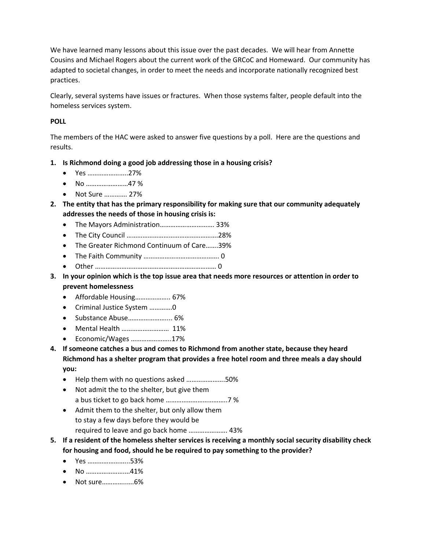We have learned many lessons about this issue over the past decades. We will hear from Annette Cousins and Michael Rogers about the current work of the GRCoC and Homeward. Our community has adapted to societal changes, in order to meet the needs and incorporate nationally recognized best practices.

Clearly, several systems have issues or fractures. When those systems falter, people default into the homeless services system.

# **POLL**

The members of the HAC were asked to answer five questions by a poll. Here are the questions and results.

- **1. Is Richmond doing a good job addressing those in a housing crisis?** 
	- Yes …………………..27%
	- No ……………………47 %
	- Not Sure …………. 27%
- **2. The entity that has the primary responsibility for making sure that our community adequately addresses the needs of those in housing crisis is:** 
	- The Mayors Administration…………………………. 33%
	- The City Council …………………………………………….28%
	- The Greater Richmond Continuum of Care…….39%
	- The Faith Community ……………………………………. 0
	- Other …………………………………………………………… 0
- **3. In your opinion which is the top issue area that needs more resources or attention in order to prevent homelessness** 
	- Affordable Housing……………….. 67%
	- Criminal Justice System ………….0
	- Substance Abuse………………….... 6%
	- Mental Health ……………………… 11%
	- Economic/Wages …………………..17%
- **4. If someone catches a bus and comes to Richmond from another state, because they heard Richmond has a shelter program that provides a free hotel room and three meals a day should you:** 
	- Help them with no questions asked ………………….50%
	- Not admit the to the shelter, but give them a bus ticket to go back home ……………………………..7 %
	- Admit them to the shelter, but only allow them to stay a few days before they would be required to leave and go back home …………………. 43%
- **5. If a resident of the homeless shelter services is receiving a monthly social security disability check for housing and food, should he be required to pay something to the provider?** 
	- Yes …………………...53%
	- No ………………….…41%
	- Not sure…………..….6%